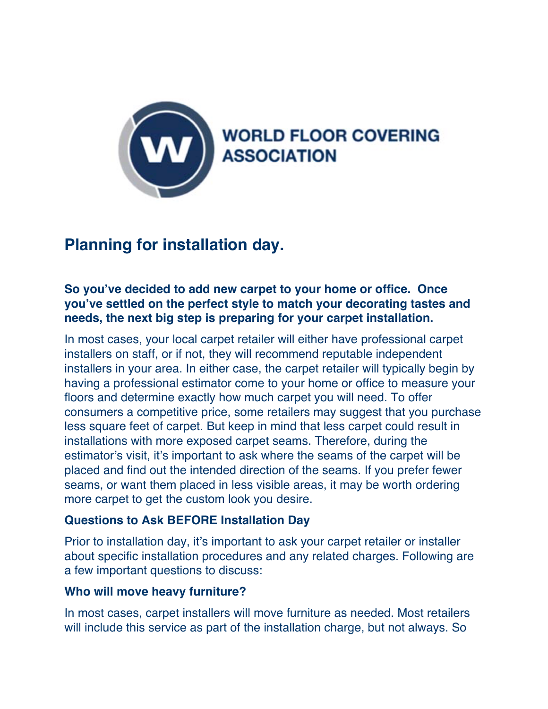

# **Planning for installation day.**

## **So you've decided to add new carpet to your home or office. Once you've settled on the perfect style to match your decorating tastes and needs, the next big step is preparing for your carpet installation.**

In most cases, your local carpet retailer will either have professional carpet installers on staff, or if not, they will recommend reputable independent installers in your area. In either case, the carpet retailer will typically begin by having a professional estimator come to your home or office to measure your floors and determine exactly how much carpet you will need. To offer consumers a competitive price, some retailers may suggest that you purchase less square feet of carpet. But keep in mind that less carpet could result in installations with more exposed carpet seams. Therefore, during the estimator's visit, it's important to ask where the seams of the carpet will be placed and find out the intended direction of the seams. If you prefer fewer seams, or want them placed in less visible areas, it may be worth ordering more carpet to get the custom look you desire.

# **Questions to Ask BEFORE Installation Day**

Prior to installation day, it's important to ask your carpet retailer or installer about specific installation procedures and any related charges. Following are a few important questions to discuss:

#### **Who will move heavy furniture?**

In most cases, carpet installers will move furniture as needed. Most retailers will include this service as part of the installation charge, but not always. So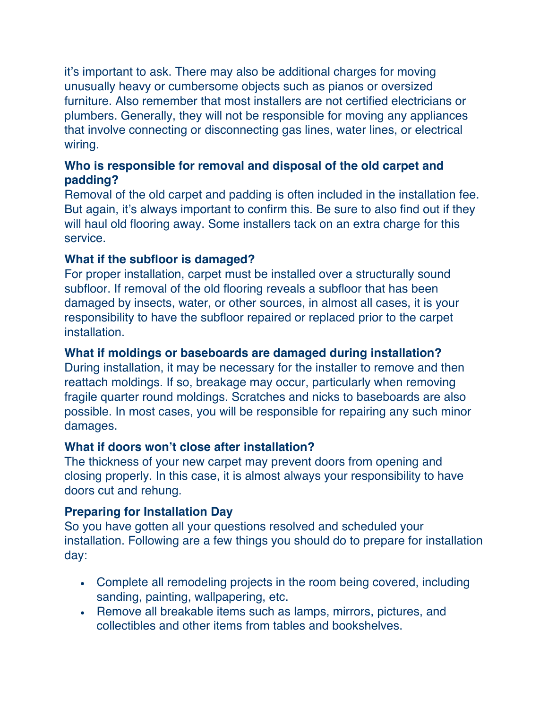it's important to ask. There may also be additional charges for moving unusually heavy or cumbersome objects such as pianos or oversized furniture. Also remember that most installers are not certified electricians or plumbers. Generally, they will not be responsible for moving any appliances that involve connecting or disconnecting gas lines, water lines, or electrical wiring.

# **Who is responsible for removal and disposal of the old carpet and padding?**

Removal of the old carpet and padding is often included in the installation fee. But again, it's always important to confirm this. Be sure to also find out if they will haul old flooring away. Some installers tack on an extra charge for this service.

## **What if the subfloor is damaged?**

For proper installation, carpet must be installed over a structurally sound subfloor. If removal of the old flooring reveals a subfloor that has been damaged by insects, water, or other sources, in almost all cases, it is your responsibility to have the subfloor repaired or replaced prior to the carpet installation.

### **What if moldings or baseboards are damaged during installation?**

During installation, it may be necessary for the installer to remove and then reattach moldings. If so, breakage may occur, particularly when removing fragile quarter round moldings. Scratches and nicks to baseboards are also possible. In most cases, you will be responsible for repairing any such minor damages.

#### **What if doors won't close after installation?**

The thickness of your new carpet may prevent doors from opening and closing properly. In this case, it is almost always your responsibility to have doors cut and rehung.

#### **Preparing for Installation Day**

So you have gotten all your questions resolved and scheduled your installation. Following are a few things you should do to prepare for installation day:

- Complete all remodeling projects in the room being covered, including sanding, painting, wallpapering, etc.
- Remove all breakable items such as lamps, mirrors, pictures, and collectibles and other items from tables and bookshelves.